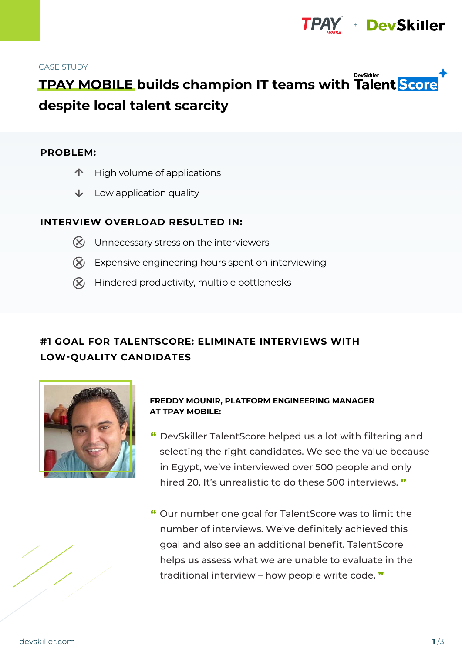

#### CASE STUDY

# **DevSkiller TPAY MOBILE builds champion IT teams with Talent Score despite local talent scarcity**

#### **PROBLEM:**

- $\uparrow$  High volume of applications
- $\downarrow$  Low application quality

## **INTERVIEW OVERLOAD RESULTED IN:**

- $\chi$  Unnecessary stress on the interviewers
- $\chi$  Expensive engineering hours spent on interviewing
- $\chi$  Hindered productivity, multiple bottlenecks

# **#1 GOAL FOR TALENTSCORE: ELIMINATE INTERVIEWS WITH LOW-QUALITY CANDIDATES**



## **FREDDY MOUNIR, PLATFORM ENGINEERING MANAGER AT TPAY MOBILE:**

- " DevSkiller TalentScore helped us a lot with filtering and selecting the right candidates. We see the value because in Egypt, we've interviewed over 500 people and only hired 20. It's unrealistic to do these 500 interviews. "
- " Our number one goal for TalentScore was to limit the number of interviews. We've definitely achieved this goal and also see an additional benefit. TalentScore helps us assess what we are unable to evaluate in the traditional interview – how people write code. "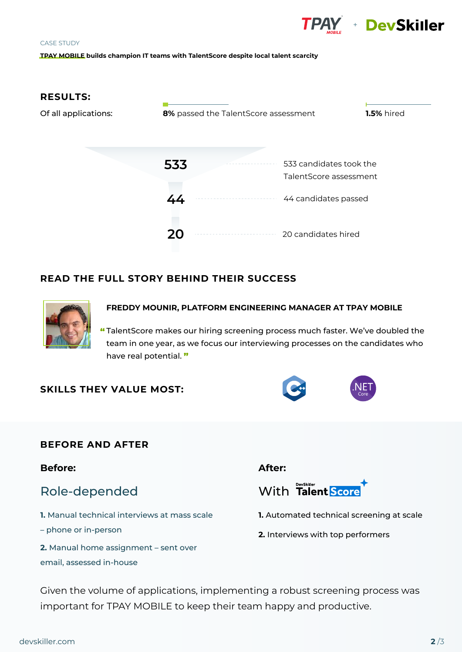

# CASE STUDY **TPAY MOBILE builds champion IT teams with TalentScore despite local talent scarcity**



# **READ THE FULL STORY BEHIND THEIR SUCCESS**



#### **FREDDY MOUNIR, PLATFORM ENGINEERING MANAGER AT TPAY MOBILE**

TalentScore makes our hiring screening process much faster. We've doubled the " team in one year, as we focus our interviewing processes on the candidates who have real potential. "

# **SKILLS THEY VALUE MOST:**

# **BEFORE AND AFTER**

**Before:**

# Role-depended

- **1.** Manual technical interviews at mass scale
- phone or in-person
- **2.** Manual home assignment sent over email, assessed in-house

# **After:**



- **1.** Automated technical screening at scale
- **2.** Interviews with top performers

Given the volume of applications, implementing a robust screening process was important for TPAY MOBILE to keep their team happy and productive.